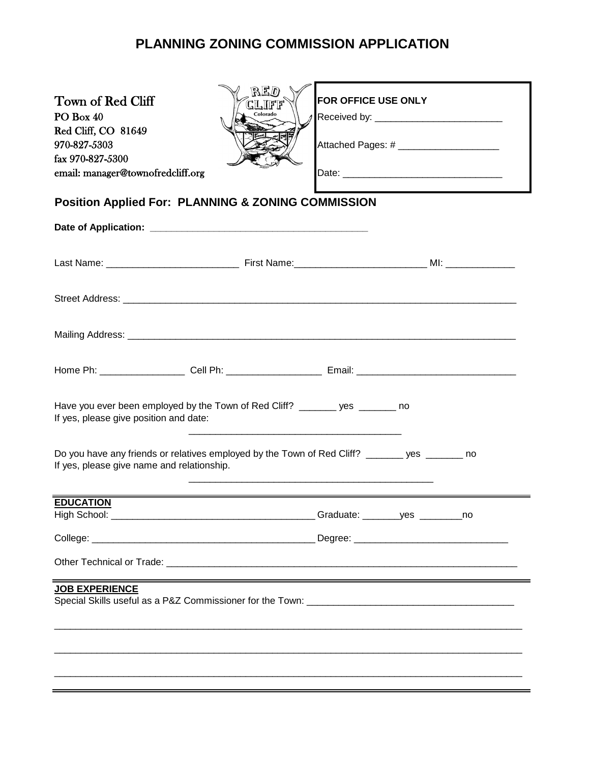## **PLANNING ZONING COMMISSION APPLICATION**

| Town of Red Cliff<br>PO Box 40<br>Red Cliff, CO 81649<br>970-827-5303<br>fax 970-827-5300<br>email: manager@townofredcliff.org             | RED<br>CLIFF<br>Colorado | <b>FOR OFFICE USE ONLY</b><br>Attached Pages: # _______________________ |  |  |
|--------------------------------------------------------------------------------------------------------------------------------------------|--------------------------|-------------------------------------------------------------------------|--|--|
| <b>Position Applied For: PLANNING &amp; ZONING COMMISSION</b>                                                                              |                          |                                                                         |  |  |
|                                                                                                                                            |                          |                                                                         |  |  |
|                                                                                                                                            |                          |                                                                         |  |  |
|                                                                                                                                            |                          |                                                                         |  |  |
|                                                                                                                                            |                          |                                                                         |  |  |
|                                                                                                                                            |                          |                                                                         |  |  |
| Have you ever been employed by the Town of Red Cliff? _______ yes ______ no<br>If yes, please give position and date:                      |                          |                                                                         |  |  |
| Do you have any friends or relatives employed by the Town of Red Cliff? ______ yes ______ no<br>If yes, please give name and relationship. |                          |                                                                         |  |  |
| <b>EDUCATION</b>                                                                                                                           |                          |                                                                         |  |  |
|                                                                                                                                            |                          |                                                                         |  |  |
|                                                                                                                                            |                          |                                                                         |  |  |
|                                                                                                                                            |                          |                                                                         |  |  |
| <b>JOB EXPERIENCE</b>                                                                                                                      |                          |                                                                         |  |  |
|                                                                                                                                            |                          |                                                                         |  |  |